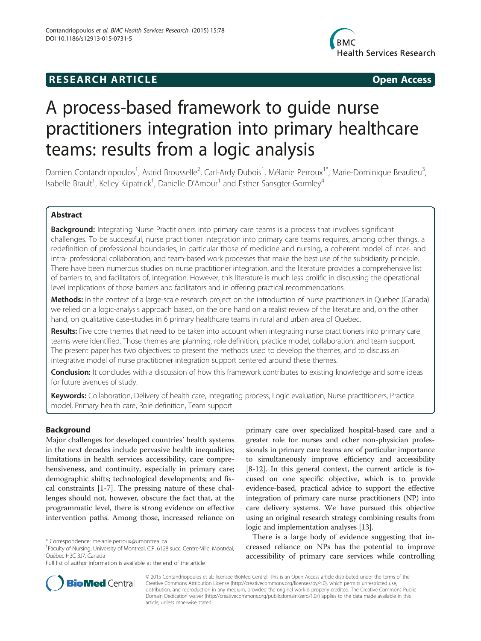## **RESEARCH ARTICLE Example 2014 12:30 The SEAR CHA RESEARCH ARTICLE**



# A process-based framework to guide nurse practitioners integration into primary healthcare teams: results from a logic analysis

Damien Contandriopoulos<sup>1</sup>, Astrid Brousselle<sup>2</sup>, Carl-Ardy Dubois<sup>1</sup>, Mélanie Perroux<sup>1\*</sup>, Marie-Dominique Beaulieu<sup>3</sup> , Isabelle Brault<sup>1</sup>, Kelley Kilpatrick<sup>1</sup>, Danielle D'Amour<sup>1</sup> and Esther Sansgter-Gormley<sup>4</sup>

### Abstract

Background: Integrating Nurse Practitioners into primary care teams is a process that involves significant challenges. To be successful, nurse practitioner integration into primary care teams requires, among other things, a redefinition of professional boundaries, in particular those of medicine and nursing, a coherent model of inter- and intra- professional collaboration, and team-based work processes that make the best use of the subsidiarity principle. There have been numerous studies on nurse practitioner integration, and the literature provides a comprehensive list of barriers to, and facilitators of, integration. However, this literature is much less prolific in discussing the operational level implications of those barriers and facilitators and in offering practical recommendations.

Methods: In the context of a large-scale research project on the introduction of nurse practitioners in Quebec (Canada) we relied on a logic-analysis approach based, on the one hand on a realist review of the literature and, on the other hand, on qualitative case-studies in 6 primary healthcare teams in rural and urban area of Quebec.

Results: Five core themes that need to be taken into account when integrating nurse practitioners into primary care teams were identified. Those themes are: planning, role definition, practice model, collaboration, and team support. The present paper has two objectives: to present the methods used to develop the themes, and to discuss an integrative model of nurse practitioner integration support centered around these themes.

**Conclusion:** It concludes with a discussion of how this framework contributes to existing knowledge and some ideas for future avenues of study.

Keywords: Collaboration, Delivery of health care, Integrating process, Logic evaluation, Nurse practitioners, Practice model, Primary health care, Role definition, Team support

#### Background

Major challenges for developed countries' health systems in the next decades include pervasive health inequalities; limitations in health services accessibility, care comprehensiveness, and continuity, especially in primary care; demographic shifts; technological developments; and fiscal constraints [[1-7](#page-8-0)]. The pressing nature of these challenges should not, however, obscure the fact that, at the programmatic level, there is strong evidence on effective intervention paths. Among those, increased reliance on



There is a large body of evidence suggesting that increased reliance on NPs has the potential to improve accessibility of primary care services while controlling



© 2015 Contandriopoulos et al.; licensee BioMed Central. This is an Open Access article distributed under the terms of the Creative Commons Attribution License (<http://creativecommons.org/licenses/by/4.0>), which permits unrestricted use, distribution, and reproduction in any medium, provided the original work is properly credited. The Creative Commons Public Domain Dedication waiver [\(http://creativecommons.org/publicdomain/zero/1.0/\)](http://creativecommons.org/publicdomain/zero/1.0/) applies to the data made available in this article, unless otherwise stated.

<sup>\*</sup> Correspondence: [melanie.perroux@umontreal.ca](mailto:melanie.perroux@umontreal.ca) <sup>1</sup>

<sup>&</sup>lt;sup>1</sup> Faculty of Nursing, University of Montreal, C.P. 6128 succ. Centre-Ville, Montréal, Québec H3C 3J7, Canada

Full list of author information is available at the end of the article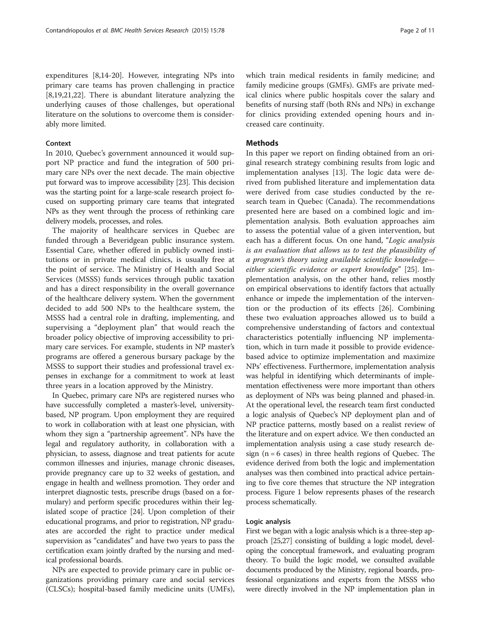expenditures [[8,14-20](#page-8-0)]. However, integrating NPs into primary care teams has proven challenging in practice [[8,19,21,](#page-8-0)[22\]](#page-9-0). There is abundant literature analyzing the underlying causes of those challenges, but operational literature on the solutions to overcome them is considerably more limited.

#### **Context**

In 2010, Quebec's government announced it would support NP practice and fund the integration of 500 primary care NPs over the next decade. The main objective put forward was to improve accessibility [\[23](#page-9-0)]. This decision was the starting point for a large-scale research project focused on supporting primary care teams that integrated NPs as they went through the process of rethinking care delivery models, processes, and roles.

The majority of healthcare services in Quebec are funded through a Beveridgean public insurance system. Essential Care, whether offered in publicly owned institutions or in private medical clinics, is usually free at the point of service. The Ministry of Health and Social Services (MSSS) funds services through public taxation and has a direct responsibility in the overall governance of the healthcare delivery system. When the government decided to add 500 NPs to the healthcare system, the MSSS had a central role in drafting, implementing, and supervising a "deployment plan" that would reach the broader policy objective of improving accessibility to primary care services. For example, students in NP master's programs are offered a generous bursary package by the MSSS to support their studies and professional travel expenses in exchange for a commitment to work at least three years in a location approved by the Ministry.

In Quebec, primary care NPs are registered nurses who have successfully completed a master's-level, universitybased, NP program. Upon employment they are required to work in collaboration with at least one physician, with whom they sign a "partnership agreement". NPs have the legal and regulatory authority, in collaboration with a physician, to assess, diagnose and treat patients for acute common illnesses and injuries, manage chronic diseases, provide pregnancy care up to 32 weeks of gestation, and engage in health and wellness promotion. They order and interpret diagnostic tests, prescribe drugs (based on a formulary) and perform specific procedures within their legislated scope of practice [\[24\]](#page-9-0). Upon completion of their educational programs, and prior to registration, NP graduates are accorded the right to practice under medical supervision as "candidates" and have two years to pass the certification exam jointly drafted by the nursing and medical professional boards.

NPs are expected to provide primary care in public organizations providing primary care and social services (CLSCs); hospital-based family medicine units (UMFs), which train medical residents in family medicine; and family medicine groups (GMFs). GMFs are private medical clinics where public hospitals cover the salary and benefits of nursing staff (both RNs and NPs) in exchange for clinics providing extended opening hours and increased care continuity.

#### Methods

In this paper we report on finding obtained from an original research strategy combining results from logic and implementation analyses [\[13\]](#page-8-0). The logic data were derived from published literature and implementation data were derived from case studies conducted by the research team in Quebec (Canada). The recommendations presented here are based on a combined logic and implementation analysis. Both evaluation approaches aim to assess the potential value of a given intervention, but each has a different focus. On one hand, "Logic analysis is an evaluation that allows us to test the plausibility of a program's theory using available scientific knowledge either scientific evidence or expert knowledge" [\[25\]](#page-9-0). Implementation analysis, on the other hand, relies mostly on empirical observations to identify factors that actually enhance or impede the implementation of the intervention or the production of its effects [\[26](#page-9-0)]. Combining these two evaluation approaches allowed us to build a comprehensive understanding of factors and contextual characteristics potentially influencing NP implementation, which in turn made it possible to provide evidencebased advice to optimize implementation and maximize NPs' effectiveness. Furthermore, implementation analysis was helpful in identifying which determinants of implementation effectiveness were more important than others as deployment of NPs was being planned and phased-in. At the operational level, the research team first conducted a logic analysis of Quebec's NP deployment plan and of NP practice patterns, mostly based on a realist review of the literature and on expert advice. We then conducted an implementation analysis using a case study research design  $(n = 6 \text{ cases})$  in three health regions of Quebec. The evidence derived from both the logic and implementation analyses was then combined into practical advice pertaining to five core themes that structure the NP integration process. Figure [1](#page-2-0) below represents phases of the research process schematically.

#### Logic analysis

First we began with a logic analysis which is a three-step approach [\[25,27](#page-9-0)] consisting of building a logic model, developing the conceptual framework, and evaluating program theory. To build the logic model, we consulted available documents produced by the Ministry, regional boards, professional organizations and experts from the MSSS who were directly involved in the NP implementation plan in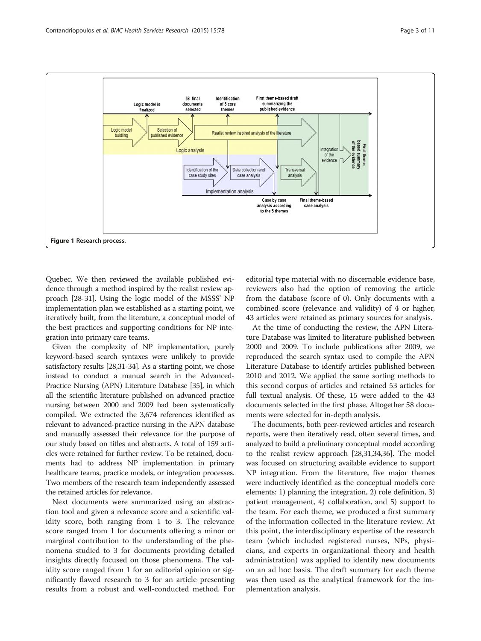<span id="page-2-0"></span>

Quebec. We then reviewed the available published evidence through a method inspired by the realist review approach [\[28](#page-9-0)-[31](#page-9-0)]. Using the logic model of the MSSS' NP implementation plan we established as a starting point, we iteratively built, from the literature, a conceptual model of the best practices and supporting conditions for NP integration into primary care teams.

Given the complexity of NP implementation, purely keyword-based search syntaxes were unlikely to provide satisfactory results [\[28,31](#page-9-0)-[34](#page-9-0)]. As a starting point, we chose instead to conduct a manual search in the Advanced-Practice Nursing (APN) Literature Database [\[35\]](#page-9-0), in which all the scientific literature published on advanced practice nursing between 2000 and 2009 had been systematically compiled. We extracted the 3,674 references identified as relevant to advanced-practice nursing in the APN database and manually assessed their relevance for the purpose of our study based on titles and abstracts. A total of 159 articles were retained for further review. To be retained, documents had to address NP implementation in primary healthcare teams, practice models, or integration processes. Two members of the research team independently assessed the retained articles for relevance.

Next documents were summarized using an abstraction tool and given a relevance score and a scientific validity score, both ranging from 1 to 3. The relevance score ranged from 1 for documents offering a minor or marginal contribution to the understanding of the phenomena studied to 3 for documents providing detailed insights directly focused on those phenomena. The validity score ranged from 1 for an editorial opinion or significantly flawed research to 3 for an article presenting results from a robust and well-conducted method. For editorial type material with no discernable evidence base, reviewers also had the option of removing the article from the database (score of 0). Only documents with a combined score (relevance and validity) of 4 or higher, 43 articles were retained as primary sources for analysis.

At the time of conducting the review, the APN Literature Database was limited to literature published between 2000 and 2009. To include publications after 2009, we reproduced the search syntax used to compile the APN Literature Database to identify articles published between 2010 and 2012. We applied the same sorting methods to this second corpus of articles and retained 53 articles for full textual analysis. Of these, 15 were added to the 43 documents selected in the first phase. Altogether 58 documents were selected for in-depth analysis.

The documents, both peer-reviewed articles and research reports, were then iteratively read, often several times, and analyzed to build a preliminary conceptual model according to the realist review approach [[28,31,34,36](#page-9-0)]. The model was focused on structuring available evidence to support NP integration. From the literature, five major themes were inductively identified as the conceptual model's core elements: 1) planning the integration, 2) role definition, 3) patient management, 4) collaboration, and 5) support to the team. For each theme, we produced a first summary of the information collected in the literature review. At this point, the interdisciplinary expertise of the research team (which included registered nurses, NPs, physicians, and experts in organizational theory and health administration) was applied to identify new documents on an ad hoc basis. The draft summary for each theme was then used as the analytical framework for the implementation analysis.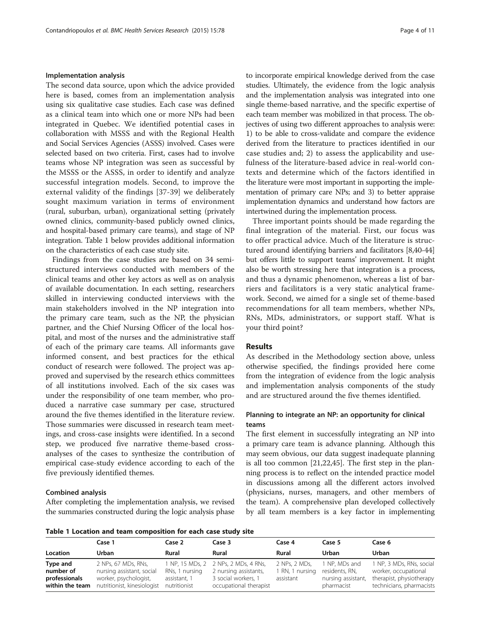#### Implementation analysis

The second data source, upon which the advice provided here is based, comes from an implementation analysis using six qualitative case studies. Each case was defined as a clinical team into which one or more NPs had been integrated in Quebec. We identified potential cases in collaboration with MSSS and with the Regional Health and Social Services Agencies (ASSS) involved. Cases were selected based on two criteria. First, cases had to involve teams whose NP integration was seen as successful by the MSSS or the ASSS, in order to identify and analyze successful integration models. Second, to improve the external validity of the findings [[37-39\]](#page-9-0) we deliberately sought maximum variation in terms of environment (rural, suburban, urban), organizational setting (privately owned clinics, community-based publicly owned clinics, and hospital-based primary care teams), and stage of NP integration. Table 1 below provides additional information on the characteristics of each case study site.

Findings from the case studies are based on 34 semistructured interviews conducted with members of the clinical teams and other key actors as well as on analysis of available documentation. In each setting, researchers skilled in interviewing conducted interviews with the main stakeholders involved in the NP integration into the primary care team, such as the NP, the physician partner, and the Chief Nursing Officer of the local hospital, and most of the nurses and the administrative staff of each of the primary care teams. All informants gave informed consent, and best practices for the ethical conduct of research were followed. The project was approved and supervised by the research ethics committees of all institutions involved. Each of the six cases was under the responsibility of one team member, who produced a narrative case summary per case, structured around the five themes identified in the literature review. Those summaries were discussed in research team meetings, and cross-case insights were identified. In a second step, we produced five narrative theme-based crossanalyses of the cases to synthesize the contribution of empirical case-study evidence according to each of the five previously identified themes.

#### Combined analysis

After completing the implementation analysis, we revised the summaries constructed during the logic analysis phase

to incorporate empirical knowledge derived from the case studies. Ultimately, the evidence from the logic analysis and the implementation analysis was integrated into one single theme-based narrative, and the specific expertise of each team member was mobilized in that process. The objectives of using two different approaches to analysis were: 1) to be able to cross-validate and compare the evidence derived from the literature to practices identified in our case studies and; 2) to assess the applicability and usefulness of the literature-based advice in real-world contexts and determine which of the factors identified in the literature were most important in supporting the implementation of primary care NPs; and 3) to better appraise implementation dynamics and understand how factors are intertwined during the implementation process.

Three important points should be made regarding the final integration of the material. First, our focus was to offer practical advice. Much of the literature is structured around identifying barriers and facilitators [[8,](#page-8-0)[40](#page-9-0)-[44](#page-9-0)] but offers little to support teams' improvement. It might also be worth stressing here that integration is a process, and thus a dynamic phenomenon, whereas a list of barriers and facilitators is a very static analytical framework. Second, we aimed for a single set of theme-based recommendations for all team members, whether NPs, RNs, MDs, administrators, or support staff. What is your third point?

#### Results

As described in the Methodology section above, unless otherwise specified, the findings provided here come from the integration of evidence from the logic analysis and implementation analysis components of the study and are structured around the five themes identified.

#### Planning to integrate an NP: an opportunity for clinical teams

The first element in successfully integrating an NP into a primary care team is advance planning. Although this may seem obvious, our data suggest inadequate planning is all too common [[21](#page-8-0),[22,45](#page-9-0)]. The first step in the planning process is to reflect on the intended practice model in discussions among all the different actors involved (physicians, nurses, managers, and other members of the team). A comprehensive plan developed collectively by all team members is a key factor in implementing

Table 1 Location and team composition for each case study site

|                                                           | Case 1                                                                                                   | Case 2                                         | Case 3                                                                                                         | Case 4                                        | Case 5                                                              | Case 6                                                                                                   |
|-----------------------------------------------------------|----------------------------------------------------------------------------------------------------------|------------------------------------------------|----------------------------------------------------------------------------------------------------------------|-----------------------------------------------|---------------------------------------------------------------------|----------------------------------------------------------------------------------------------------------|
| Location                                                  | Urban                                                                                                    | Rural                                          | Rural                                                                                                          | Rural                                         | Urban                                                               | Urban                                                                                                    |
| Type and<br>number of<br>professionals<br>within the team | 2 NPs, 67 MDs, RNs,<br>nursing assistant, social<br>worker, psychologist,<br>nutritionist, kinesiologist | RNs, 1 nursing<br>assistant, 1<br>nutritionist | 1 NP, 15 MDs, 2 2 NPs, 2 MDs, 4 RNs,<br>2 nursing assistants,<br>3 social workers, 1<br>occupational therapist | 2 NPs. 2 MDs.<br>I RN, 1 nursing<br>assistant | 1 NP. MDs and<br>residents, RN,<br>nursing assistant,<br>pharmacist | 1 NP, 3 MDs, RNs, social<br>worker, occupational<br>therapist, physiotherapy<br>technicians, pharmacists |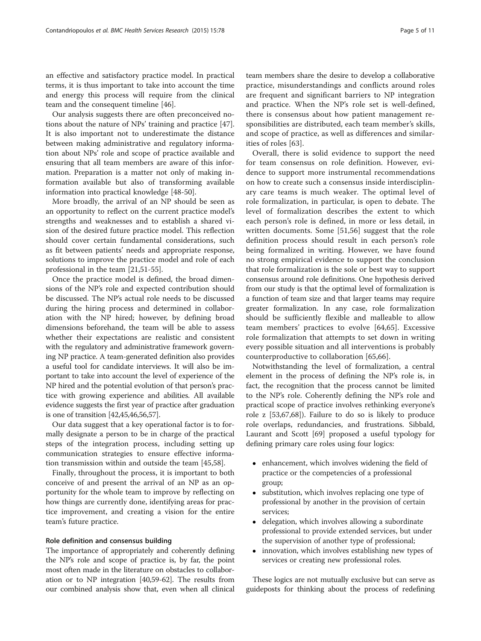an effective and satisfactory practice model. In practical terms, it is thus important to take into account the time and energy this process will require from the clinical team and the consequent timeline [[46](#page-9-0)].

Our analysis suggests there are often preconceived notions about the nature of NPs' training and practice [\[47](#page-9-0)]. It is also important not to underestimate the distance between making administrative and regulatory information about NPs' role and scope of practice available and ensuring that all team members are aware of this information. Preparation is a matter not only of making information available but also of transforming available information into practical knowledge [[48-50\]](#page-9-0).

More broadly, the arrival of an NP should be seen as an opportunity to reflect on the current practice model's strengths and weaknesses and to establish a shared vision of the desired future practice model. This reflection should cover certain fundamental considerations, such as fit between patients' needs and appropriate response, solutions to improve the practice model and role of each professional in the team [[21](#page-8-0)[,51](#page-9-0)-[55\]](#page-9-0).

Once the practice model is defined, the broad dimensions of the NP's role and expected contribution should be discussed. The NP's actual role needs to be discussed during the hiring process and determined in collaboration with the NP hired; however, by defining broad dimensions beforehand, the team will be able to assess whether their expectations are realistic and consistent with the regulatory and administrative framework governing NP practice. A team-generated definition also provides a useful tool for candidate interviews. It will also be important to take into account the level of experience of the NP hired and the potential evolution of that person's practice with growing experience and abilities. All available evidence suggests the first year of practice after graduation is one of transition [\[42,45,46,56,57](#page-9-0)].

Our data suggest that a key operational factor is to formally designate a person to be in charge of the practical steps of the integration process, including setting up communication strategies to ensure effective information transmission within and outside the team [\[45,58\]](#page-9-0).

Finally, throughout the process, it is important to both conceive of and present the arrival of an NP as an opportunity for the whole team to improve by reflecting on how things are currently done, identifying areas for practice improvement, and creating a vision for the entire team's future practice.

#### Role definition and consensus building

The importance of appropriately and coherently defining the NP's role and scope of practice is, by far, the point most often made in the literature on obstacles to collaboration or to NP integration [[40,59](#page-9-0)-[62](#page-9-0)]. The results from our combined analysis show that, even when all clinical

team members share the desire to develop a collaborative practice, misunderstandings and conflicts around roles are frequent and significant barriers to NP integration and practice. When the NP's role set is well-defined, there is consensus about how patient management responsibilities are distributed, each team member's skills, and scope of practice, as well as differences and similarities of roles [[63](#page-9-0)].

Overall, there is solid evidence to support the need for team consensus on role definition. However, evidence to support more instrumental recommendations on how to create such a consensus inside interdisciplinary care teams is much weaker. The optimal level of role formalization, in particular, is open to debate. The level of formalization describes the extent to which each person's role is defined, in more or less detail, in written documents. Some [[51,56](#page-9-0)] suggest that the role definition process should result in each person's role being formalized in writing. However, we have found no strong empirical evidence to support the conclusion that role formalization is the sole or best way to support consensus around role definitions. One hypothesis derived from our study is that the optimal level of formalization is a function of team size and that larger teams may require greater formalization. In any case, role formalization should be sufficiently flexible and malleable to allow team members' practices to evolve [[64,65\]](#page-9-0). Excessive role formalization that attempts to set down in writing every possible situation and all interventions is probably counterproductive to collaboration [[65,66](#page-9-0)].

Notwithstanding the level of formalization, a central element in the process of defining the NP's role is, in fact, the recognition that the process cannot be limited to the NP's role. Coherently defining the NP's role and practical scope of practice involves rethinking everyone's role z [[53,67](#page-9-0),[68](#page-9-0)]). Failure to do so is likely to produce role overlaps, redundancies, and frustrations. Sibbald, Laurant and Scott [[69\]](#page-9-0) proposed a useful typology for defining primary care roles using four logics:

- enhancement, which involves widening the field of practice or the competencies of a professional group;
- substitution, which involves replacing one type of professional by another in the provision of certain services;
- delegation, which involves allowing a subordinate professional to provide extended services, but under the supervision of another type of professional;
- innovation, which involves establishing new types of services or creating new professional roles.

These logics are not mutually exclusive but can serve as guideposts for thinking about the process of redefining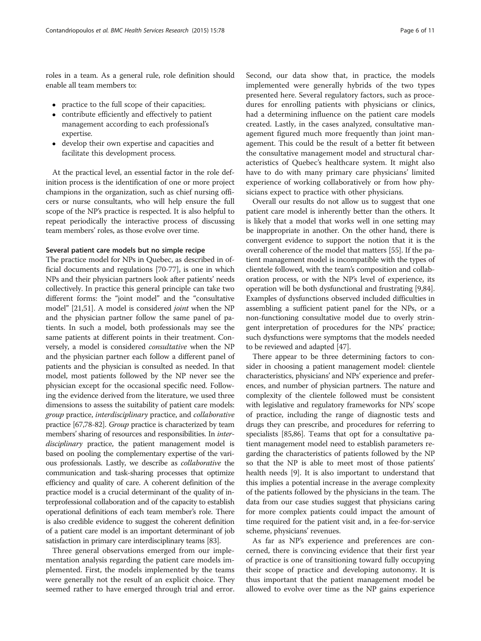roles in a team. As a general rule, role definition should enable all team members to:

- practice to the full scope of their capacities;.
- contribute efficiently and effectively to patient management according to each professional's expertise.
- develop their own expertise and capacities and facilitate this development process.

At the practical level, an essential factor in the role definition process is the identification of one or more project champions in the organization, such as chief nursing officers or nurse consultants, who will help ensure the full scope of the NP's practice is respected. It is also helpful to repeat periodically the interactive process of discussing team members' roles, as those evolve over time.

#### Several patient care models but no simple recipe

The practice model for NPs in Quebec, as described in official documents and regulations [[70](#page-9-0)-[77](#page-10-0)], is one in which NPs and their physician partners look after patients' needs collectively. In practice this general principle can take two different forms: the "joint model" and the "consultative model" [[21](#page-8-0)[,51\]](#page-9-0). A model is considered joint when the NP and the physician partner follow the same panel of patients. In such a model, both professionals may see the same patients at different points in their treatment. Conversely, a model is considered consultative when the NP and the physician partner each follow a different panel of patients and the physician is consulted as needed. In that model, most patients followed by the NP never see the physician except for the occasional specific need. Following the evidence derived from the literature, we used three dimensions to assess the suitability of patient care models: group practice, interdisciplinary practice, and collaborative practice [\[67,](#page-9-0)[78-82\]](#page-10-0). Group practice is characterized by team members' sharing of resources and responsibilities. In interdisciplinary practice, the patient management model is based on pooling the complementary expertise of the various professionals. Lastly, we describe as collaborative the communication and task-sharing processes that optimize efficiency and quality of care. A coherent definition of the practice model is a crucial determinant of the quality of interprofessional collaboration and of the capacity to establish operational definitions of each team member's role. There is also credible evidence to suggest the coherent definition of a patient care model is an important determinant of job satisfaction in primary care interdisciplinary teams [\[83](#page-10-0)].

Three general observations emerged from our implementation analysis regarding the patient care models implemented. First, the models implemented by the teams were generally not the result of an explicit choice. They seemed rather to have emerged through trial and error.

Second, our data show that, in practice, the models implemented were generally hybrids of the two types presented here. Several regulatory factors, such as procedures for enrolling patients with physicians or clinics, had a determining influence on the patient care models created. Lastly, in the cases analyzed, consultative management figured much more frequently than joint management. This could be the result of a better fit between the consultative management model and structural characteristics of Quebec's healthcare system. It might also have to do with many primary care physicians' limited experience of working collaboratively or from how physicians expect to practice with other physicians.

Overall our results do not allow us to suggest that one patient care model is inherently better than the others. It is likely that a model that works well in one setting may be inappropriate in another. On the other hand, there is convergent evidence to support the notion that it is the overall coherence of the model that matters [\[55](#page-9-0)]. If the patient management model is incompatible with the types of clientele followed, with the team's composition and collaboration process, or with the NP's level of experience, its operation will be both dysfunctional and frustrating [[9,](#page-8-0)[84](#page-10-0)]. Examples of dysfunctions observed included difficulties in assembling a sufficient patient panel for the NPs, or a non-functioning consultative model due to overly stringent interpretation of procedures for the NPs' practice; such dysfunctions were symptoms that the models needed to be reviewed and adapted [[47](#page-9-0)].

There appear to be three determining factors to consider in choosing a patient management model: clientele characteristics, physicians' and NPs' experience and preferences, and number of physician partners. The nature and complexity of the clientele followed must be consistent with legislative and regulatory frameworks for NPs' scope of practice, including the range of diagnostic tests and drugs they can prescribe, and procedures for referring to specialists [[85,86\]](#page-10-0). Teams that opt for a consultative patient management model need to establish parameters regarding the characteristics of patients followed by the NP so that the NP is able to meet most of those patients' health needs [\[9](#page-8-0)]. It is also important to understand that this implies a potential increase in the average complexity of the patients followed by the physicians in the team. The data from our case studies suggest that physicians caring for more complex patients could impact the amount of time required for the patient visit and, in a fee-for-service scheme, physicians' revenues.

As far as NP's experience and preferences are concerned, there is convincing evidence that their first year of practice is one of transitioning toward fully occupying their scope of practice and developing autonomy. It is thus important that the patient management model be allowed to evolve over time as the NP gains experience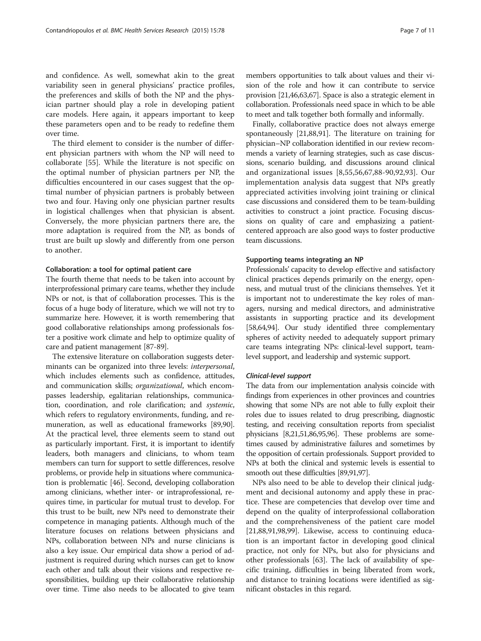and confidence. As well, somewhat akin to the great variability seen in general physicians' practice profiles, the preferences and skills of both the NP and the physician partner should play a role in developing patient care models. Here again, it appears important to keep these parameters open and to be ready to redefine them over time.

The third element to consider is the number of different physician partners with whom the NP will need to collaborate [\[55\]](#page-9-0). While the literature is not specific on the optimal number of physician partners per NP, the difficulties encountered in our cases suggest that the optimal number of physician partners is probably between two and four. Having only one physician partner results in logistical challenges when that physician is absent. Conversely, the more physician partners there are, the more adaptation is required from the NP, as bonds of trust are built up slowly and differently from one person to another.

#### Collaboration: a tool for optimal patient care

The fourth theme that needs to be taken into account by interprofessional primary care teams, whether they include NPs or not, is that of collaboration processes. This is the focus of a huge body of literature, which we will not try to summarize here. However, it is worth remembering that good collaborative relationships among professionals foster a positive work climate and help to optimize quality of care and patient management [[87-89\]](#page-10-0).

The extensive literature on collaboration suggests determinants can be organized into three levels: interpersonal, which includes elements such as confidence, attitudes, and communication skills; organizational, which encompasses leadership, egalitarian relationships, communication, coordination, and role clarification; and systemic, which refers to regulatory environments, funding, and remuneration, as well as educational frameworks [\[89,90](#page-10-0)]. At the practical level, three elements seem to stand out as particularly important. First, it is important to identify leaders, both managers and clinicians, to whom team members can turn for support to settle differences, resolve problems, or provide help in situations where communication is problematic [\[46\]](#page-9-0). Second, developing collaboration among clinicians, whether inter- or intraprofessional, requires time, in particular for mutual trust to develop. For this trust to be built, new NPs need to demonstrate their competence in managing patients. Although much of the literature focuses on relations between physicians and NPs, collaboration between NPs and nurse clinicians is also a key issue. Our empirical data show a period of adjustment is required during which nurses can get to know each other and talk about their visions and respective responsibilities, building up their collaborative relationship over time. Time also needs to be allocated to give team members opportunities to talk about values and their vision of the role and how it can contribute to service provision [[21](#page-8-0)[,46,63,67](#page-9-0)]. Space is also a strategic element in collaboration. Professionals need space in which to be able to meet and talk together both formally and informally.

Finally, collaborative practice does not always emerge spontaneously [\[21](#page-8-0)[,88,91](#page-10-0)]. The literature on training for physician–NP collaboration identified in our review recommends a variety of learning strategies, such as case discussions, scenario building, and discussions around clinical and organizational issues [[8,](#page-8-0)[55,56,67](#page-9-0),[88-90](#page-10-0),[92,93\]](#page-10-0). Our implementation analysis data suggest that NPs greatly appreciated activities involving joint training or clinical case discussions and considered them to be team-building activities to construct a joint practice. Focusing discussions on quality of care and emphasizing a patientcentered approach are also good ways to foster productive team discussions.

#### Supporting teams integrating an NP

Professionals' capacity to develop effective and satisfactory clinical practices depends primarily on the energy, openness, and mutual trust of the clinicians themselves. Yet it is important not to underestimate the key roles of managers, nursing and medical directors, and administrative assistants in supporting practice and its development [[58,64](#page-9-0)[,94\]](#page-10-0). Our study identified three complementary spheres of activity needed to adequately support primary care teams integrating NPs: clinical-level support, teamlevel support, and leadership and systemic support.

#### Clinical-level support

The data from our implementation analysis coincide with findings from experiences in other provinces and countries showing that some NPs are not able to fully exploit their roles due to issues related to drug prescribing, diagnostic testing, and receiving consultation reports from specialist physicians [\[8,21](#page-8-0)[,51,](#page-9-0)[86,95,96\]](#page-10-0). These problems are sometimes caused by administrative failures and sometimes by the opposition of certain professionals. Support provided to NPs at both the clinical and systemic levels is essential to smooth out these difficulties [\[89,91,97](#page-10-0)].

NPs also need to be able to develop their clinical judgment and decisional autonomy and apply these in practice. These are competencies that develop over time and depend on the quality of interprofessional collaboration and the comprehensiveness of the patient care model [[21,](#page-8-0)[88,91,98,99\]](#page-10-0). Likewise, access to continuing education is an important factor in developing good clinical practice, not only for NPs, but also for physicians and other professionals [\[63](#page-9-0)]. The lack of availability of specific training, difficulties in being liberated from work, and distance to training locations were identified as significant obstacles in this regard.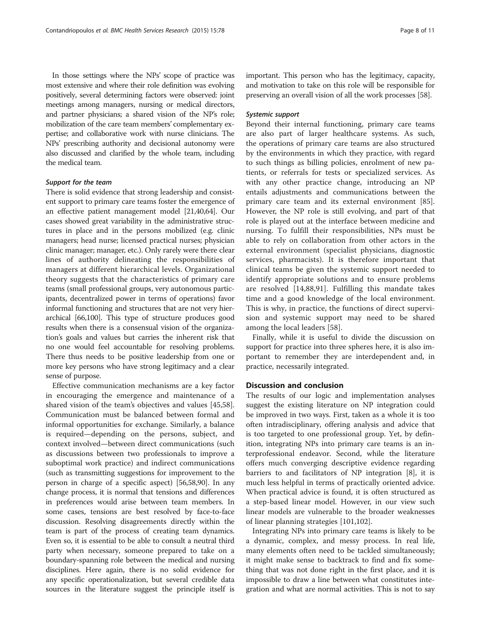In those settings where the NPs' scope of practice was most extensive and where their role definition was evolving positively, several determining factors were observed: joint meetings among managers, nursing or medical directors, and partner physicians; a shared vision of the NP's role; mobilization of the care team members' complementary expertise; and collaborative work with nurse clinicians. The NPs' prescribing authority and decisional autonomy were also discussed and clarified by the whole team, including the medical team.

#### Support for the team

There is solid evidence that strong leadership and consistent support to primary care teams foster the emergence of an effective patient management model [\[21,](#page-8-0)[40,64](#page-9-0)]. Our cases showed great variability in the administrative structures in place and in the persons mobilized (e.g. clinic managers; head nurse; licensed practical nurses; physician clinic manager; manager, etc.). Only rarely were there clear lines of authority delineating the responsibilities of managers at different hierarchical levels. Organizational theory suggests that the characteristics of primary care teams (small professional groups, very autonomous participants, decentralized power in terms of operations) favor informal functioning and structures that are not very hierarchical [[66](#page-9-0)[,100\]](#page-10-0). This type of structure produces good results when there is a consensual vision of the organization's goals and values but carries the inherent risk that no one would feel accountable for resolving problems. There thus needs to be positive leadership from one or more key persons who have strong legitimacy and a clear sense of purpose.

Effective communication mechanisms are a key factor in encouraging the emergence and maintenance of a shared vision of the team's objectives and values [\[45,58](#page-9-0)]. Communication must be balanced between formal and informal opportunities for exchange. Similarly, a balance is required—depending on the persons, subject, and context involved—between direct communications (such as discussions between two professionals to improve a suboptimal work practice) and indirect communications (such as transmitting suggestions for improvement to the person in charge of a specific aspect) [\[56,58](#page-9-0),[90](#page-10-0)]. In any change process, it is normal that tensions and differences in preferences would arise between team members. In some cases, tensions are best resolved by face-to-face discussion. Resolving disagreements directly within the team is part of the process of creating team dynamics. Even so, it is essential to be able to consult a neutral third party when necessary, someone prepared to take on a boundary-spanning role between the medical and nursing disciplines. Here again, there is no solid evidence for any specific operationalization, but several credible data sources in the literature suggest the principle itself is important. This person who has the legitimacy, capacity, and motivation to take on this role will be responsible for preserving an overall vision of all the work processes [\[58\]](#page-9-0).

#### Systemic support

Beyond their internal functioning, primary care teams are also part of larger healthcare systems. As such, the operations of primary care teams are also structured by the environments in which they practice, with regard to such things as billing policies, enrolment of new patients, or referrals for tests or specialized services. As with any other practice change, introducing an NP entails adjustments and communications between the primary care team and its external environment [\[85](#page-10-0)]. However, the NP role is still evolving, and part of that role is played out at the interface between medicine and nursing. To fulfill their responsibilities, NPs must be able to rely on collaboration from other actors in the external environment (specialist physicians, diagnostic services, pharmacists). It is therefore important that clinical teams be given the systemic support needed to identify appropriate solutions and to ensure problems are resolved [[14,](#page-8-0)[88,91](#page-10-0)]. Fulfilling this mandate takes time and a good knowledge of the local environment. This is why, in practice, the functions of direct supervision and systemic support may need to be shared among the local leaders [[58\]](#page-9-0).

Finally, while it is useful to divide the discussion on support for practice into three spheres here, it is also important to remember they are interdependent and, in practice, necessarily integrated.

#### Discussion and conclusion

The results of our logic and implementation analyses suggest the existing literature on NP integration could be improved in two ways. First, taken as a whole it is too often intradisciplinary, offering analysis and advice that is too targeted to one professional group. Yet, by definition, integrating NPs into primary care teams is an interprofessional endeavor. Second, while the literature offers much converging descriptive evidence regarding barriers to and facilitators of NP integration [\[8](#page-8-0)], it is much less helpful in terms of practically oriented advice. When practical advice is found, it is often structured as a step-based linear model. However, in our view such linear models are vulnerable to the broader weaknesses of linear planning strategies [\[101,102\]](#page-10-0).

Integrating NPs into primary care teams is likely to be a dynamic, complex, and messy process. In real life, many elements often need to be tackled simultaneously; it might make sense to backtrack to find and fix something that was not done right in the first place, and it is impossible to draw a line between what constitutes integration and what are normal activities. This is not to say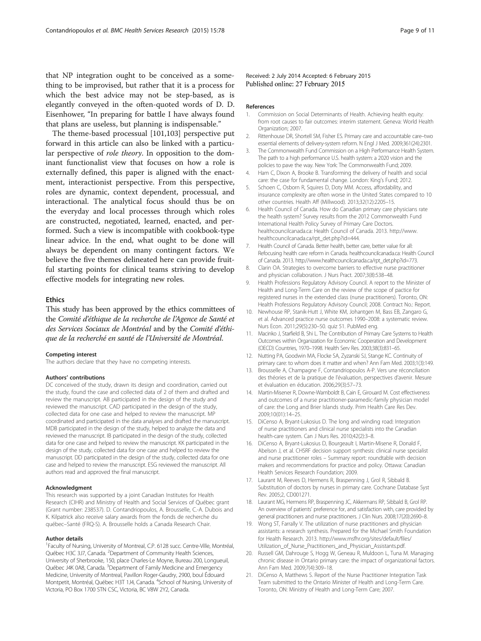<span id="page-8-0"></span>that NP integration ought to be conceived as a something to be improvised, but rather that it is a process for which the best advice may not be step-based, as is elegantly conveyed in the often-quoted words of D. D. Eisenhower, "In preparing for battle I have always found that plans are useless, but planning is indispensable."

The theme-based processual [\[101,103\]](#page-10-0) perspective put forward in this article can also be linked with a particular perspective of role theory. In opposition to the dominant functionalist view that focuses on how a role is externally defined, this paper is aligned with the enactment, interactionist perspective. From this perspective, roles are dynamic, context dependent, processual, and interactional. The analytical focus should thus be on the everyday and local processes through which roles are constructed, negotiated, learned, enacted, and performed. Such a view is incompatible with cookbook-type linear advice. In the end, what ought to be done will always be dependent on many contingent factors. We believe the five themes delineated here can provide fruitful starting points for clinical teams striving to develop effective models for integrating new roles.

#### Ethics

This study has been approved by the ethics committees of the Comité d'éthique de la recherche de l'Agence de Santé et des Services Sociaux de Montréal and by the Comité d'éthique de la recherché en santé de l'Université de Montréal.

#### Competing interest

The authors declare that they have no competing interests.

#### Authors' contributions

DC conceived of the study, drawn its design and coordination, carried out the study, found the case and collected data of 2 of them and drafted and review the manuscript. AB participated in the design of the study and reviewed the manuscript. CAD participated in the design of the study, collected data for one case and helped to review the manuscript. MP coordinated and participated in the data analyses and drafted the manuscript. MDB participated in the design of the study, helped to analyze the data and reviewed the manuscript. IB participated in the design of the study, collected data for one case and helped to review the manuscript. KK participated in the design of the study, collected data for one case and helped to review the manuscript. DD participated in the design of the study, collected data for one case and helped to review the manuscript. ESG reviewed the manuscript. All authors read and approved the final manuscript.

#### Acknowledgment

This research was supported by a joint Canadian Institutes for Health Research (CIHR) and Ministry of Health and Social Services of Québec grant (Grant number: 238537). D. Contandriopoulos, A. Brousselle, C.-A. Dubois and K. Kilpatrick also receive salary awards from the fonds de recherche du québec–Santé (FRQ-S). A. Brousselle holds a Canada Research Chair.

#### Author details

<sup>1</sup> Faculty of Nursing, University of Montreal, C.P. 6128 succ. Centre-Ville, Montréal, Québec H3C 3J7, Canada. <sup>2</sup>Department of Community Health Sciences, University of Sherbrooke, 150, place Charles-Le Moyne, Bureau 200, Longueuil, Québec J4K 0A8, Canada. <sup>3</sup>Department of Family Medicine and Emergency Medicine, University of Montreal, Pavillon Roger-Gaudry, 2900, boul Édouard Montpetit, Montréal, Québec H3T 1J4, Canada. <sup>4</sup>School of Nursing, University of Victoria, PO Box 1700 STN CSC, Victoria, BC V8W 2Y2, Canada.

Received: 2 July 2014 Accepted: 6 February 2015 Published online: 27 February 2015

#### References

- 1. Commission on Social Determinants of Health. Achieving health equity: from root causes to fair outcomes: interim statement. Geneva: World Health Organization; 2007.
- 2. Rittenhouse DR, Shortell SM, Fisher ES. Primary care and accountable care–two essential elements of delivery-system reform. N Engl J Med. 2009;361(24):2301.
- 3. The Commonwealth Fund Commission on a High Performance Health System. The path to a high performance U.S. health system: a 2020 vision and the policies to pave the way. New York: The Commonwealth Fund; 2009.
- 4. Ham C, Dixon A, Brooke B. Transforming the delivery of health and social care: the case for fundamental change. London: King's Fund; 2012.
- 5. Schoen C, Osborn R, Squires D, Doty MM. Access, affordability, and insurance complexity are often worse in the United States compared to 10 other countries. Health Aff (Millwood). 2013;32(12):2205–15.
- 6. Health Council of Canada. How do Canadian primary care physicians rate the health system? Survey results from the 2012 Commonwealth Fund International Health Policy Survey of Primary Care Doctors. healthcouncilcanada.ca: Health Council of Canada. 2013. [http://www.](http://www.healthcouncilcanada.ca/rpt_det.php?id=444) [healthcouncilcanada.ca/rpt\\_det.php?id=444.](http://www.healthcouncilcanada.ca/rpt_det.php?id=444)
- 7. Health Council of Canada. Better health, better care, better value for all: Refocusing health care reform in Canada. healthcouncilcanada.ca: Health Council of Canada. 2013. [http://www.healthcouncilcanada.ca/rpt\\_det.php?id=773.](http://www.healthcouncilcanada.ca/rpt_det.php?id=773)
- 8. Clarin OA. Strategies to overcome barriers to effective nurse practitioner and physician collaboration. J Nurs Pract. 2007;3(8):538–48.
- 9. Health Professions Regulatory Advisory Council. A report to the Minister of Health and Long-Term Care on the review of the scope of pactice for registered nurses in the extended class (nurse practitioners). Toronto, ON: Health Professions Regulatory Advisory Council; 2008. Contract No.: Report.
- 10. Newhouse RP, Stanik-Hutt J, White KM, Johantgen M, Bass EB, Zangaro G, et al. Advanced practice nurse outcomes 1990–2008: a systematic review. Nurs Econ. 2011;29(5):230–50. quiz 51. PubMed eng.
- 11. Macinko J, Starfield B, Shi L. The Contribution of Primary Care Systems to Health Outcomes within Organization for Economic Cooperation and Development (OECD) Countries, 1970–1998. Health Serv Res. 2003;38(3):831–65.
- 12. Nutting PA, Goodwin MA, Flocke SA, Zyzanski SJ, Stange KC. Continuity of primary care: to whom does it matter and when? Ann Fam Med. 2003;1(3):149.
- 13. Brousselle A, Champagne F, Contandriopoulos A-P. Vers une réconciliation des théories et de la pratique de l'évaluation, perspectives d'avenir. Mesure et évaluation en éducation. 2006;29(3):57–73.
- 14. Martin-Misener R, Downe-Wamboldt B, Cain E, Girouard M. Cost effectiveness and outcomes of a nurse practitioner-paramedic-family physician model of care: the Long and Brier Islands study. Prim Health Care Res Dev. 2009;10(01):14–25.
- 15. DiCenso A, Bryant-Lukosius D. The long and winding road: Integration of nurse practitioners and clinical nurse specialists into the Canadian health-care system. Can J Nurs Res. 2010;42(2):3–8.
- 16. DiCenso A, Bryant-Lukosius D, Bourgeault I, Martin-Misene R, Donald F, Abelson J, et al. CHSRF decision support synthesis: clinical nurse specialist and nurse practitioner roles – Summary report: roundtable with decision makers and recommendations for practice and policy. Ottawa: Canadian Health Services Research Foundation; 2009.
- 17. Laurant M, Reeves D, Hermens R, Braspenning J, Grol R, Sibbald B. Substitution of doctors by nurses in primary care. Cochrane Database Syst Rev. 2005;2, CD001271.
- 18. Laurant MG, Hermens RP, Braspenning JC, Akkermans RP, Sibbald B, Grol RP. An overview of patients' preference for, and satisfaction with, care provided by general practitioners and nurse practitioners. J Clin Nurs. 2008;17(20):2690–8.
- 19. Wong ST, Farrally V. The utilization of nurse practitioners and physician assistants: a research synthesis. Prepared for the Michael Smith Foundation for Health Research. 2013. [http://www.msfhr.org/sites/default/files/](http://www.msfhr.org/sites/default/files/Utilization_of_Nurse_Practitioners_and_Physician_Assistants.pdf) [Utilization\\_of\\_Nurse\\_Practitioners\\_and\\_Physician\\_Assistants.pdf](http://www.msfhr.org/sites/default/files/Utilization_of_Nurse_Practitioners_and_Physician_Assistants.pdf).
- 20. Russell GM, Dahrouge S, Hogg W, Geneau R, Muldoon L, Tuna M. Managing chronic disease in Ontario primary care: the impact of organizational factors. Ann Fam Med. 2009;7(4):309–18.
- 21. DiCenso A, Matthews S. Report of the Nurse Practitioner Integration Task Team submitted to the Ontario Minister of Health and Long-Term Care. Toronto, ON: Ministry of Health and Long-Term Care; 2007.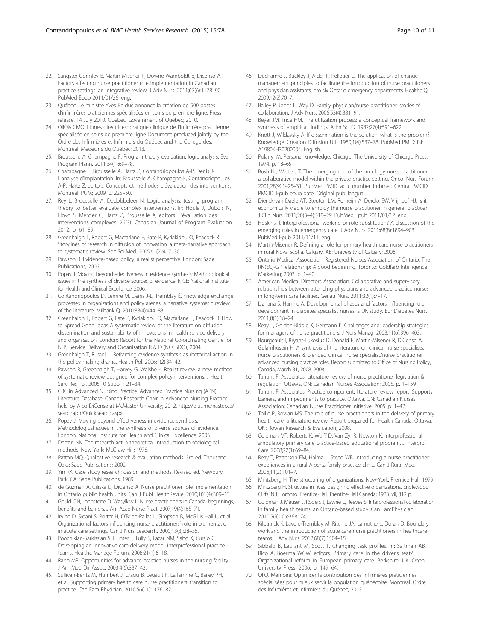- <span id="page-9-0"></span>22. Sangster-Gormley E, Martin-Misener R, Downe-Wamboldt B, Dicenso A. Factors affecting nurse practitioner role implementation in Canadian practice settings: an integrative review. J Adv Nurs. 2011;67(6):1178–90. PubMed Epub 2011/01/26. eng.
- 23. Québec. Le ministre Yves Bolduc annonce la création de 500 postes d'infirmières praticiennes spécialisées en soins de première ligne. Press release, 14 July 2010. Quebec: Government of Québec; 2010.
- 24. OIIQ& CMQ. Lignes directrices: pratique clinique de l'infirmière praticienne spécialisée en soins de première ligne Document produced jointly by the Ordre des Infirmières et Infirmiers du Québec and the Collège des. Montreal: Médecins du Québec; 2013.
- 25. Brousselle A, Champagne F. Program theory evaluation: logic analysis. Eval Program Plann. 2011;34(1):69–78.
- 26. Champagne F, Brousselle A, Hartz Z, Contandriopoulos A-P, Denis J-L. L'analyse d'implantation. In: Brousselle A, Champagne F, Contandriopoulos A-P, Hartz Z, editors. Concepts et méthodes d'évaluation des interventions. Montreal: PUM; 2009. p. 225–50.
- 27. Rey L, Brousselle A, Dedobbeleer N. Logic analysis: testing program theory to better evaluate complex interventions. In: Houle J, Dubois N, Lloyd S, Mercier C, Hartz Z, Brousselle A, editors. L'évaluation des interventions complexes. 26(3): Canadian Journal of Program Evaluation. 2012. p. 61–89.
- 28. Greenhalgh T, Robert G, Macfarlane F, Bate P, Kyriakidou O, Peacock R. Storylines of research in diffusion of innovation: a meta-narrative approach to systematic review. Soc Sci Med. 2005;61(2):417–30.
- 29. Pawson R. Evidence-based policy: a realist perpective. London: Sage Publications; 2006.
- 30. Popay J. Moving beyond effectiveness in evidence synthesis: Methodological issues in the synthesis of diverse sources of evidence. NICE: National Institute for Health and Clinical Excellence; 2006.
- 31. Contandriopoulos D, Lemire M, Denis J-L, Tremblay É. Knowledge exchange processes in organizations and policy arenas: a narrative systematic review of the literature. Milbank Q. 2010;88(4):444–83.
- 32. Greenhalgh T, Robert G, Bate P, Kyriakidou O, Macfarlane F, Peacock R. How to Spread Good Ideas A systematic review of the literature on diffusion, dissemination and sustainability of innovations in health service delivery and organisation. London: Report for the National Co-ordinating Centre for NHS Service Delivery and Organisation R & D (NCCSDO); 2004.
- 33. Greenhalgh T, Russell J. Reframing evidence synthesis as rhetorical action in the policy making drama. Health Pol. 2006;1(2):34–42.
- 34. Pawson R, Greenhalgh T, Harvey G, Walshe K. Realist review–a new method of systematic review designed for complex policy interventions. J Health Serv Res Pol. 2005;10 Suppl 1:21–34.
- 35. CRC in Advanced Nursing Practice. Advanced Practice Nursing (APN) Literature Database. Canada Research Chair in Advanced Nursing Practice held by Alba DiCenso at McMaster University; 2012. [http://plus.mcmaster.ca/](http://plus.mcmaster.ca/searchapn/QuickSearch.aspx) [searchapn/QuickSearch.aspx.](http://plus.mcmaster.ca/searchapn/QuickSearch.aspx)
- 36. Popay J. Moving beyond effectiveness in evidence synthesis. Methodological issues in the synthesis of diverse sources of evidence. London: National Institute for Health and Clinical Excellence; 2003.
- 37. Denzin NK. The research act: a theoretical introduction to sociological methods. New York: McGraw-Hill; 1978.
- 38. Patton MQ. Qualitative research & evaluation methods. 3rd ed. Thousand Oaks: Sage Publications; 2002.
- 39. Yin RK. Case study research: design and methods. Revised ed. Newbury Park: CA: Sage Publications; 1989.
- 40. de Guzman A, Ciliska D, DiCenso A. Nurse practitioner role implementation in Ontario public health units. Can J Publ HealthRevue. 2010;101(4):309–13.
- 41. Gould ON, Johnstone D, Wasylkiw L. Nurse practitioners in Canada: beginnings, benefits, and barriers. J Am Acad Nurse Pract. 2007;19(4):165–71.
- 42. Irvine D, Sidani S, Porter H, O'Brien-Pallas L, Simpson B, McGillis Hall L, et al. Organizational factors influencing nurse practitioners' role implementation in acute care settings. Can J Nurs Leadersh. 2000;13(3):28–35.
- 43. Poochikian-Sarkissian S, Hunter J, Tully S, Lazar NM, Sabo K, Cursio C. Developing an innovative care delivery model: interprofessional practice teams. Healthc Manage Forum. 2008;21(1):6–18.
- 44. Rapp MP. Opportunities for advance practice nurses in the nursing facility. J Am Med Dir Assoc. 2003;4(6):337–43.
- 45. Sullivan-Bentz M, Humbert J, Cragg B, Legault F, Laflamme C, Bailey PH, et al. Supporting primary health care nurse practitioners' transition to practice. Can Fam Physician. 2010;56(11):1176–82.
- 46. Ducharme J, Buckley J, Alder R, Pelletier C. The application of change management principles to facilitate the introduction of nurse practitioners and physician assistants into six Ontario emergency departments. Healthc Q. 2009;12(2):70–7.
- 47. Bailey P, Jones L, Way D. Family physician/nurse practitioner: stories of collaboration. J Adv Nurs. 2006;53(4):381–91.
- 48. Beyer JM, Trice HM. The utilization process: a conceptual framework and synthesis of empirical findings. Adm Sci Q. 1982;27(4):591–622.
- 49. Knott J, Wildavsky A. If dissemination is the solution, what is the problem? Knowledge. Creation Diffusion Util. 1980;1(4):537–78. PubMed PMID: ISI: A1980KH30200004. English.
- 50. Polanyi M. Personal knowledge. Chicago: The University of Chicago Press; 1974. p. 18–65.
- 51. Bush NJ, Watters T. The emerging role of the oncology nurse practitioner: a collaborative model within the private practice setting. Oncol Nurs Forum. 2001;28(9):1425–31. PubMed PMID: accc number. Pubmed Central PMCID: PMCID. Epub epub date. Original pub. langua.
- 52. Dierick-van Daele AT, Steuten LM, Romeijn A, Derckx EW, Vrijhoef HJ. Is it economically viable to employ the nurse practitioner in general practice? J Clin Nurs. 2011;20(3–4):518–29. PubMed Epub 2011/01/12. eng.
- 53. Hoskins R. Interprofessional working or role substitution? A discussion of the emerging roles in emergency care. J Adv Nurs. 2011;68(8):1894–903. PubMed Epub 2011/11/11. eng.
- 54. Martin-Misener R. Defining a role for primary health care nurse practitioners in rural Nova Scotia. Calgary, AB: University of Calgary; 2006.
- 55. Ontario Medical Association, Registered Nurses Association of Ontario. The RN(EC)-GP relationship: A good beginning. Toronto: Goldfarb Intelligence Marketing; 2003. p. 1–40.
- 56. American Medical Directors Association. Collaborative and supervisory relationships between attending physicians and advanced practice nurses in long-term care facilities. Geriatr Nurs. 2011;32(1):7–17.
- 57. Liahana S, Hamric A. Developmental phases and factors influencing role development in diabetes specialist nurses: a UK study. Eur Diabetes Nurs. 2011;8(1):18–24.
- 58. Reay T, Golden-Biddle K, Germann K. Challenges and leadership strategies for managers of nurse practitioners. J Nurs Manag. 2003;11(6):396–403.
- 59. Bourgeault I, Bryant-Lukosius D, Donald F, Martin-Misener R, DiCenso A, Gulamhusein H. A synthesis of the literature on clinical nurse specialists, nurse practitioners & blended clinical nurse specialist/nurse practitioner advanced nursing practice roles. Report submitted to Office of Nursing Policy, Canada, March 31, 2008. 2008.
- 60. Tarrant F, Associates. Literature review of nurse practitioner legislation & regulation. Ottawa, ON: Canadian Nurses Association; 2005. p. 1–159.
- 61. Tarrant F, Associates. Practice component: literature review report. Supports, barriers, and impediments to practice. Ottawa, ON: Canadian Nurses Association; Canadian Nurse Practitioner Initiative; 2005. p. 1–42.
- 62. Thille P, Rowan MS. The role of nurse practitioners in the delivery of primary health care: a literature review. Report prepared for Health Canada. Ottawa, ON: Rowan Research & Evaluation; 2008.
- 63. Coleman MT, Roberts K, Wulff D, Van Zyl R, Newton K. Interprofessional ambulatory primary care practice-based educational program. J Interprof Care. 2008;22(1):69–84.
- 64. Reay T, Patterson EM, Halma L, Steed WB. Introducing a nurse practitioner: experiences in a rural Alberta family practice clinic. Can J Rural Med. 2006;11(2):101–7.
- 65. Mintzberg H. The structuring of organizations. New-York: Prentice Hall; 1979.
- 66. Mintzberg H. Structure in fives: designing effective organizations. Englewood Cliffs, N.J. Toronto: Prentice-Hall; Prentice-Hall Canada; 1983. vii, 312 p.
- 67. Goldman J, Meuser J, Rogers J, Lawrie L, Reeves S. Interprofessional collaboration in family health teams: an Ontario-based study. Can FamPhysician. 2010;56(10):e368–74.
- 68. Kilpatrick K, Lavoie-Tremblay M, Ritchie JA, Lamothe L, Doran D. Boundary work and the introduction of acute care nurse practitioners in healthcare teams. J Adv Nurs. 2012;68(7):1504–15.
- 69. Sibbald B, Laurant M, Scott T. Changing task profiles. In: Saltman AB, Rico A, Boerma WGW, editors. Primary care in the driver's seat? Organizational reform in European primary care. Berkshire, UK: Open University Press; 2006. p. 149–64.
- 70. OIIQ. Mémoire: Optimiser la contribution des infirmières praticiennes spécialisées pour mieux servir la population québécoise. Montréal: Ordre des Infirmières et Infirmiers du Québec; 2013.